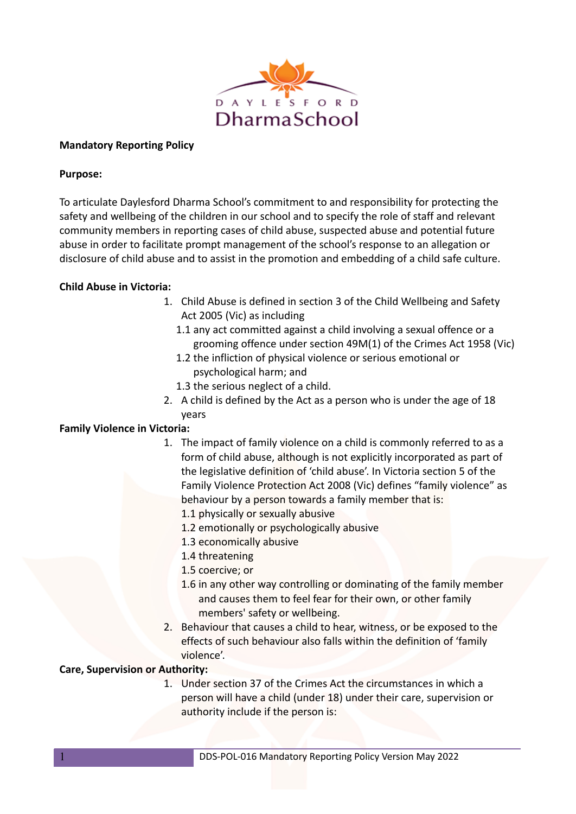

# **Mandatory Reporting Policy**

## **Purpose:**

To articulate Daylesford Dharma School's commitment to and responsibility for protecting the safety and wellbeing of the children in our school and to specify the role of staff and relevant community members in reporting cases of child abuse, suspected abuse and potential future abuse in order to facilitate prompt management of the school's response to an allegation or disclosure of child abuse and to assist in the promotion and embedding of a child safe culture.

# **Child Abuse in Victoria:**

- 1. Child Abuse is defined in section 3 of the Child Wellbeing and Safety Act 2005 (Vic) as including
	- 1.1 any act committed against a child involving a sexual offence or a grooming offence under section 49M(1) of the Crimes Act 1958 (Vic)
	- 1.2 the infliction of physical violence or serious emotional or psychological harm; and
	- 1.3 the serious neglect of a child.
- 2. A child is defined by the Act as a person who is under the age of 18 years

# **Family Violence in Victoria:**

- 1. The impact of family violence on a child is commonly referred to as a form of child abuse, although is not explicitly incorporated as part of the legislative definition of 'child abuse'. In Victoria section 5 of the Family Violence Protection Act 2008 (Vic) defines "family violence" as behaviour by a person towards a family member that is:
	- 1.1 physically or sexually abusive
	- 1.2 emotionally or psychologically abusive
	- 1.3 economically abusive
	- 1.4 threatening
	- 1.5 coercive; or
	- 1.6 in any other way controlling or dominating of the family member and causes them to feel fear for their own, or other family members' safety or wellbeing.
- 2. Behaviour that causes a child to hear, witness, or be exposed to the effects of such behaviour also falls within the definition of 'family violence'.

# **Care, Supervision or Authority:**

1. Under section 37 of the Crimes Act the circumstances in which a person will have a child (under 18) under their care, supervision or authority include if the person is: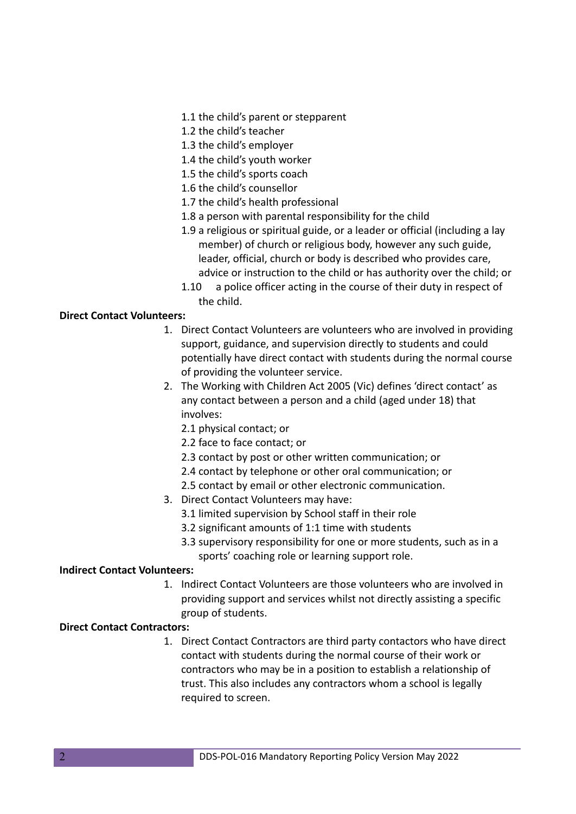- 1.1 the child's parent or stepparent
- 1.2 the child's teacher
- 1.3 the child's employer
- 1.4 the child's youth worker
- 1.5 the child's sports coach
- 1.6 the child's counsellor
- 1.7 the child's health professional
- 1.8 a person with parental responsibility for the child
- 1.9 a religious or spiritual guide, or a leader or official (including a lay member) of church or religious body, however any such guide, leader, official, church or body is described who provides care, advice or instruction to the child or has authority over the child; or
- 1.10 a police officer acting in the course of their duty in respect of the child.

#### **Direct Contact Volunteers:**

- 1. Direct Contact Volunteers are volunteers who are involved in providing support, guidance, and supervision directly to students and could potentially have direct contact with students during the normal course of providing the volunteer service.
- 2. The Working with Children Act 2005 (Vic) defines 'direct contact' as any contact between a person and a child (aged under 18) that involves:
	- 2.1 physical contact; or
	- 2.2 face to face contact; or
	- 2.3 contact by post or other written communication; or
	- 2.4 contact by telephone or other oral communication; or
	- 2.5 contact by email or other electronic communication.
- 3. Direct Contact Volunteers may have:
	- 3.1 limited supervision by School staff in their role
	- 3.2 significant amounts of 1:1 time with students
	- 3.3 supervisory responsibility for one or more students, such as in a sports' coaching role or learning support role.

#### **Indirect Contact Volunteers:**

1. Indirect Contact Volunteers are those volunteers who are involved in providing support and services whilst not directly assisting a specific group of students.

#### **Direct Contact Contractors:**

1. Direct Contact Contractors are third party contactors who have direct contact with students during the normal course of their work or contractors who may be in a position to establish a relationship of trust. This also includes any contractors whom a school is legally required to screen.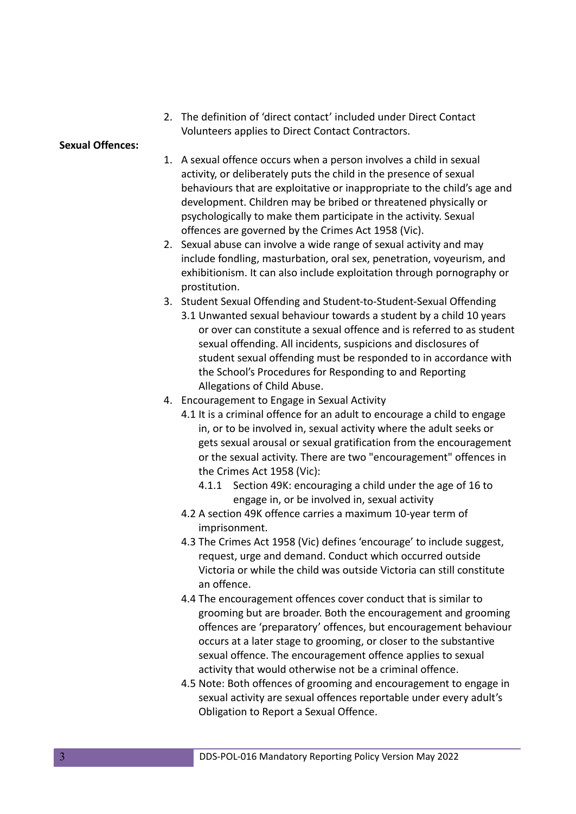2. The definition of 'direct contact' included under Direct Contact Volunteers applies to Direct Contact Contractors.

#### **Sexual Offences:**

- 1. A sexual offence occurs when a person involves a child in sexual activity, or deliberately puts the child in the presence of sexual behaviours that are exploitative or inappropriate to the child's age and development. Children may be bribed or threatened physically or psychologically to make them participate in the activity. Sexual offences are governed by the Crimes Act 1958 (Vic).
- 2. Sexual abuse can involve a wide range of sexual activity and may include fondling, masturbation, oral sex, penetration, voyeurism, and exhibitionism. It can also include exploitation through pornography or prostitution.
- 3. Student Sexual Offending and Student-to-Student-Sexual Offending 3.1 Unwanted sexual behaviour towards a student by a child 10 years or over can constitute a sexual offence and is referred to as student sexual offending. All incidents, suspicions and disclosures of student sexual offending must be responded to in accordance with the School's Procedures for Responding to and Reporting Allegations of Child Abuse.
- 4. Encouragement to Engage in Sexual Activity
	- 4.1 It is a criminal offence for an adult to encourage a child to engage in, or to be involved in, sexual activity where the adult seeks or gets sexual arousal or sexual gratification from the encouragement or the sexual activity. There are two "encouragement" offences in the Crimes Act 1958 (Vic):
		- 4.1.1 Section 49K: encouraging a child under the age of 16 to engage in, or be involved in, sexual activity
	- 4.2 A section 49K offence carries a maximum 10-year term of imprisonment.
	- 4.3 The Crimes Act 1958 (Vic) defines 'encourage' to include suggest, request, urge and demand. Conduct which occurred outside Victoria or while the child was outside Victoria can still constitute an offence.
	- 4.4 The encouragement offences cover conduct that is similar to grooming but are broader. Both the encouragement and grooming offences are 'preparatory' offences, but encouragement behaviour occurs at a later stage to grooming, or closer to the substantive sexual offence. The encouragement offence applies to sexual activity that would otherwise not be a criminal offence.
	- 4.5 Note: Both offences of grooming and encouragement to engage in sexual activity are sexual offences reportable under every adult's Obligation to Report a Sexual Offence.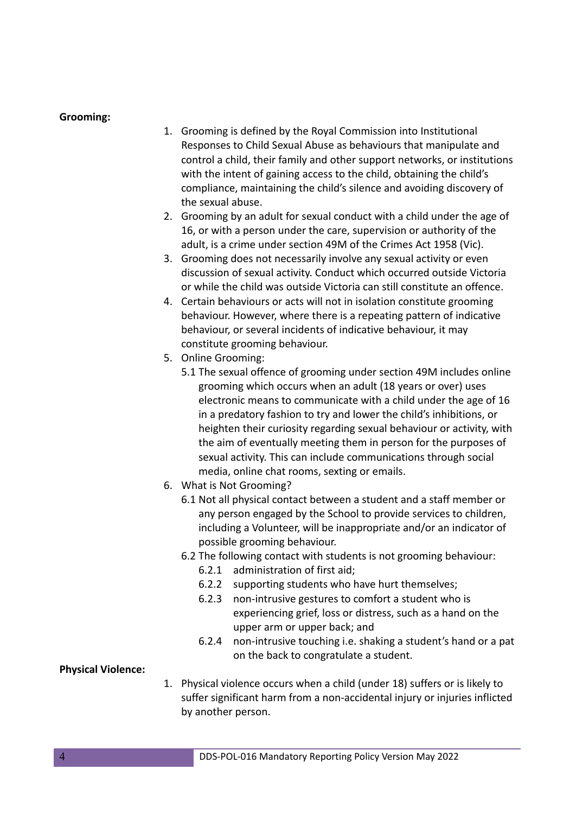#### **Grooming:**

- 1. Grooming is defined by the Royal Commission into Institutional Responses to Child Sexual Abuse as behaviours that manipulate and control a child, their family and other support networks, or institutions with the intent of gaining access to the child, obtaining the child's compliance, maintaining the child's silence and avoiding discovery of the sexual abuse.
- 2. Grooming by an adult for sexual conduct with a child under the age of 16, or with a person under the care, supervision or authority of the adult, is a crime under section 49M of the Crimes Act 1958 (Vic).
- 3. Grooming does not necessarily involve any sexual activity or even discussion of sexual activity. Conduct which occurred outside Victoria or while the child was outside Victoria can still constitute an offence.
- 4. Certain behaviours or acts will not in isolation constitute grooming behaviour. However, where there is a repeating pattern of indicative behaviour, or several incidents of indicative behaviour, it may constitute grooming behaviour.
- 5. Online Grooming:
	- 5.1 The sexual offence of grooming under section 49M includes online grooming which occurs when an adult (18 years or over) uses electronic means to communicate with a child under the age of 16 in a predatory fashion to try and lower the child's inhibitions, or heighten their curiosity regarding sexual behaviour or activity, with the aim of eventually meeting them in person for the purposes of sexual activity. This can include communications through social media, online chat rooms, sexting or emails.
- 6. What is Not Grooming?
	- 6.1 Not all physical contact between a student and a staff member or any person engaged by the School to provide services to children, including a Volunteer, will be inappropriate and/or an indicator of possible grooming behaviour.
	- 6.2 The following contact with students is not grooming behaviour:
		- 6.2.1 administration of first aid;
		- 6.2.2 supporting students who have hurt themselves;
		- 6.2.3 non-intrusive gestures to comfort a student who is experiencing grief, loss or distress, such as a hand on the upper arm or upper back; and
		- 6.2.4 non-intrusive touching i.e. shaking a student's hand or a pat on the back to congratulate a student.

## **Physical Violence:**

1. Physical violence occurs when a child (under 18) suffers or is likely to suffer significant harm from a non-accidental injury or injuries inflicted by another person.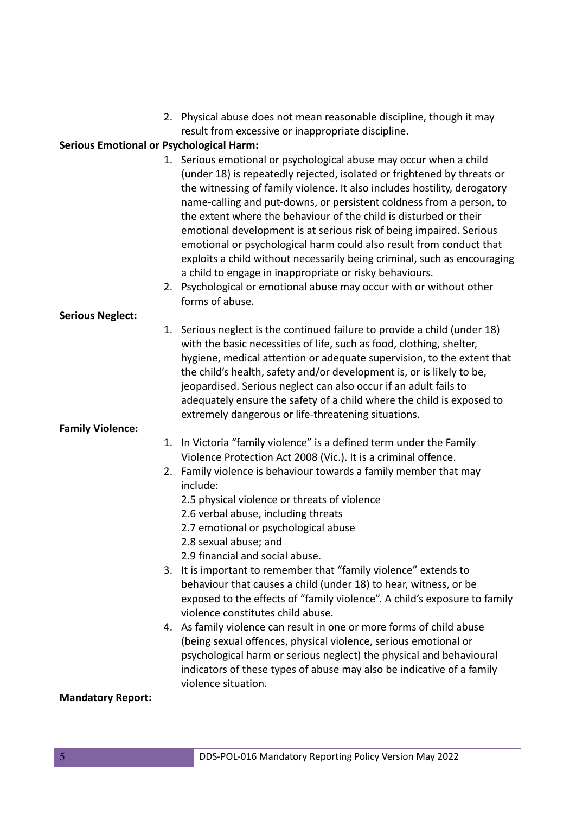2. Physical abuse does not mean reasonable discipline, though it may result from excessive or inappropriate discipline.

## **Serious Emotional or Psychological Harm:**

- 1. Serious emotional or psychological abuse may occur when a child (under 18) is repeatedly rejected, isolated or frightened by threats or the witnessing of family violence. It also includes hostility, derogatory name-calling and put-downs, or persistent coldness from a person, to the extent where the behaviour of the child is disturbed or their emotional development is at serious risk of being impaired. Serious emotional or psychological harm could also result from conduct that exploits a child without necessarily being criminal, such as encouraging a child to engage in inappropriate or risky behaviours.
- 2. Psychological or emotional abuse may occur with or without other forms of abuse.

# **Serious Neglect:**

1. Serious neglect is the continued failure to provide a child (under 18) with the basic necessities of life, such as food, clothing, shelter, hygiene, medical attention or adequate supervision, to the extent that the child's health, safety and/or development is, or is likely to be, jeopardised. Serious neglect can also occur if an adult fails to adequately ensure the safety of a child where the child is exposed to extremely dangerous or life-threatening situations.

# **Family Violence:**

- 1. In Victoria "family violence" is a defined term under the Family Violence Protection Act 2008 (Vic.). It is a criminal offence.
- 2. Family violence is behaviour towards a family member that may include:
	- 2.5 physical violence or threats of violence
	- 2.6 verbal abuse, including threats
	- 2.7 emotional or psychological abuse
	- 2.8 sexual abuse; and
	- 2.9 financial and social abuse.
- 3. It is important to remember that "family violence" extends to behaviour that causes a child (under 18) to hear, witness, or be exposed to the effects of "family violence". A child's exposure to family violence constitutes child abuse.
- 4. As family violence can result in one or more forms of child abuse (being sexual offences, physical violence, serious emotional or psychological harm or serious neglect) the physical and behavioural indicators of these types of abuse may also be indicative of a family violence situation.

## **Mandatory Report:**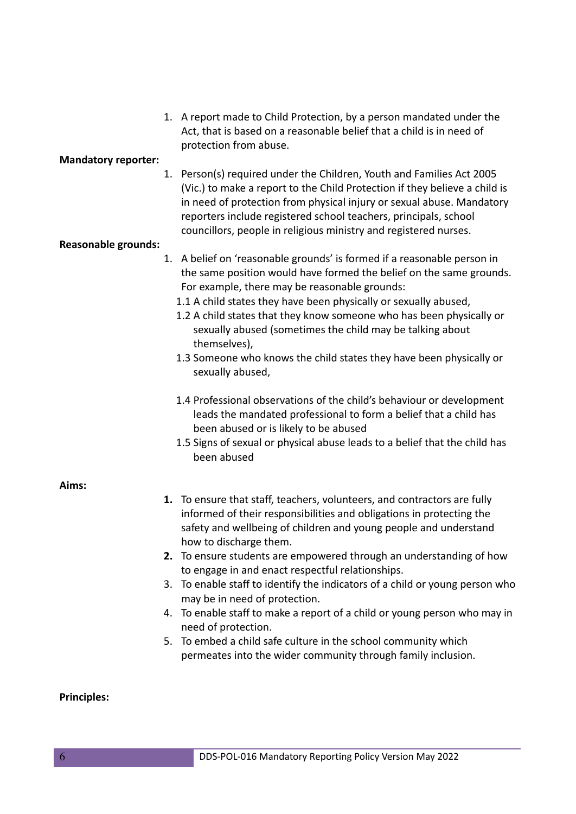1. A report made to Child Protection, by a person mandated under the Act, that is based on a reasonable belief that a child is in need of protection from abuse.

#### **Mandatory reporter:**

1. Person(s) required under the Children, Youth and Families Act 2005 (Vic.) to make a report to the Child Protection if they believe a child is in need of protection from physical injury or sexual abuse. Mandatory reporters include registered school teachers, principals, school councillors, people in religious ministry and registered nurses.

#### **Reasonable grounds:**

- 1. A belief on 'reasonable grounds' is formed if a reasonable person in the same position would have formed the belief on the same grounds. For example, there may be reasonable grounds:
	- 1.1 A child states they have been physically or sexually abused,
	- 1.2 A child states that they know someone who has been physically or sexually abused (sometimes the child may be talking about themselves),
	- 1.3 Someone who knows the child states they have been physically or sexually abused,
	- 1.4 Professional observations of the child's behaviour or development leads the mandated professional to form a belief that a child has been abused or is likely to be abused
	- 1.5 Signs of sexual or physical abuse leads to a belief that the child has been abused

## **Aims:**

- **1.** To ensure that staff, teachers, volunteers, and contractors are fully informed of their responsibilities and obligations in protecting the safety and wellbeing of children and young people and understand how to discharge them.
- **2.** To ensure students are empowered through an understanding of how to engage in and enact respectful relationships.
- 3. To enable staff to identify the indicators of a child or young person who may be in need of protection.
- 4. To enable staff to make a report of a child or young person who may in need of protection.
- 5. To embed a child safe culture in the school community which permeates into the wider community through family inclusion.

## **Principles:**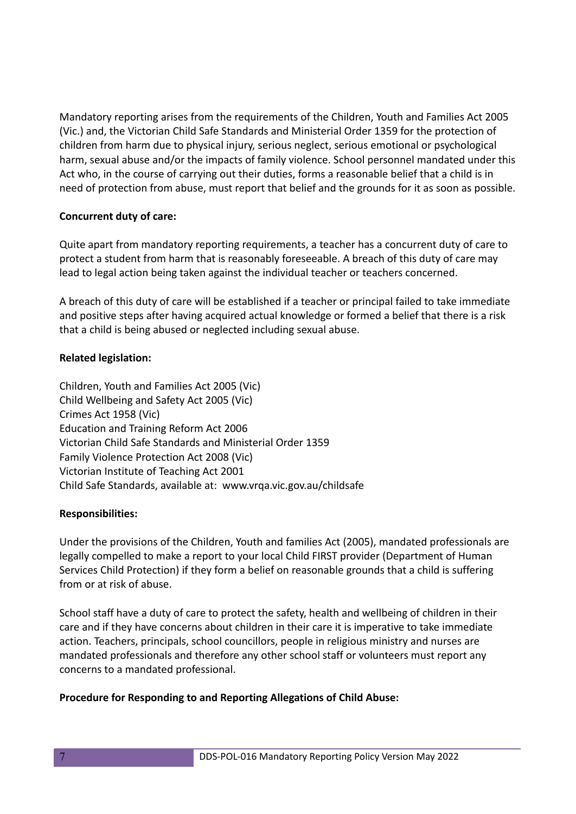Mandatory reporting arises from the requirements of the Children, Youth and Families Act 2005 (Vic.) and, the Victorian Child Safe Standards and Ministerial Order 1359 for the protection of children from harm due to physical injury, serious neglect, serious emotional or psychological harm, sexual abuse and/or the impacts of family violence. School personnel mandated under this Act who, in the course of carrying out their duties, forms a reasonable belief that a child is in need of protection from abuse, must report that belief and the grounds for it as soon as possible.

# **Concurrent duty of care:**

Quite apart from mandatory reporting requirements, a teacher has a concurrent duty of care to protect a student from harm that is reasonably foreseeable. A breach of this duty of care may lead to legal action being taken against the individual teacher or teachers concerned.

A breach of this duty of care will be established if a teacher or principal failed to take immediate and positive steps after having acquired actual knowledge or formed a belief that there is a risk that a child is being abused or neglected including sexual abuse.

# **Related legislation:**

Children, Youth and Families Act 2005 (Vic) Child Wellbeing and Safety Act 2005 (Vic) Crimes Act 1958 (Vic) Education and Training Reform Act 2006 Victorian Child Safe Standards and Ministerial Order 1359 Family Violence Protection Act 2008 (Vic) Victorian Institute of Teaching Act 2001 Child Safe Standards, available at: www.vrqa.vic.gov.au/childsafe

## **Responsibilities:**

Under the provisions of the Children, Youth and families Act (2005), mandated professionals are legally compelled to make a report to your local Child FIRST provider (Department of Human Services Child Protection) if they form a belief on reasonable grounds that a child is suffering from or at risk of abuse.

School staff have a duty of care to protect the safety, health and wellbeing of children in their care and if they have concerns about children in their care it is imperative to take immediate action. Teachers, principals, school councillors, people in religious ministry and nurses are mandated professionals and therefore any other school staff or volunteers must report any concerns to a mandated professional.

# **Procedure for Responding to and Reporting Allegations of Child Abuse:**